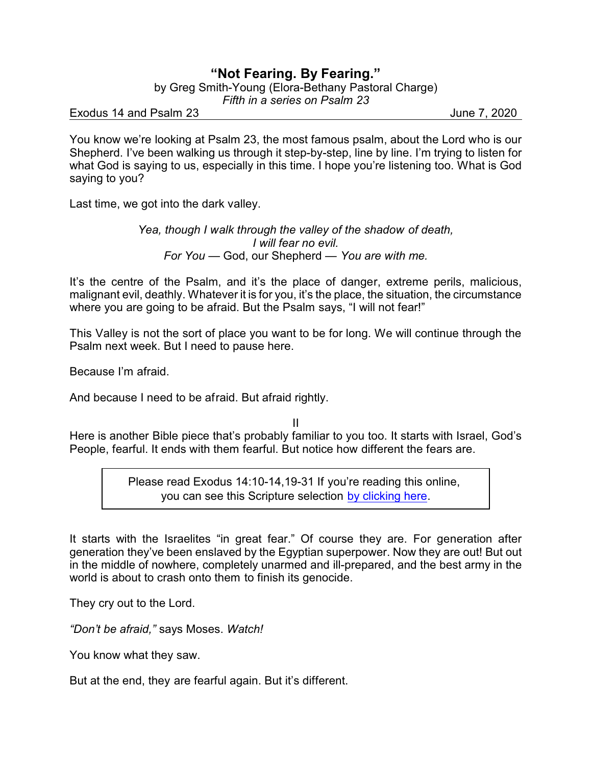## **"Not Fearing. By Fearing."**

by Greg Smith-Young (Elora-Bethany Pastoral Charge)

*Fifth in a series on Psalm 23*

Exodus 14 and Psalm 23 June 7, 2020

You know we're looking at Psalm 23, the most famous psalm, about the Lord who is our Shepherd. I've been walking us through it step-by-step, line by line. I'm trying to listen for what God is saying to us, especially in this time. I hope you're listening too. What is God saying to you?

Last time, we got into the dark valley.

*Yea, though I walk through the valley of the shadow of death, I will fear no evil. For You* — God, our Shepherd — *You are with me.*

It's the centre of the Psalm, and it's the place of danger, extreme perils, malicious, malignant evil, deathly. Whatever it is for you, it's the place, the situation, the circumstance where you are going to be afraid. But the Psalm says, "I will not fear!"

This Valley is not the sort of place you want to be for long. We will continue through the Psalm next week. But I need to pause here.

Because I'm afraid.

And because I need to be afraid. But afraid rightly.

II

Here is another Bible piece that's probably familiar to you too. It starts with Israel, God's People, fearful. It ends with them fearful. But notice how different the fears are.

> Please read Exodus 14:10-14,19-31 If you're reading this online, you can see this Scripture selection [by clicking here](https://www.biblegateway.com/passage/?search=Exodus+14%3A10-14%2C19-31&version=NRSVA).

It starts with the Israelites "in great fear." Of course they are. For generation after generation they've been enslaved by the Egyptian superpower. Now they are out! But out in the middle of nowhere, completely unarmed and ill-prepared, and the best army in the world is about to crash onto them to finish its genocide.

They cry out to the Lord.

*"Don't be afraid,"* says Moses. *Watch!*

You know what they saw.

But at the end, they are fearful again. But it's different.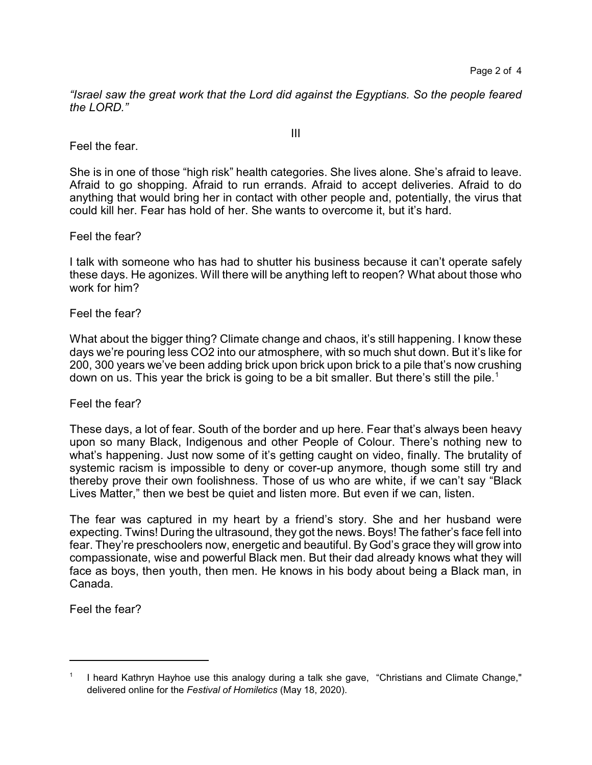*"Israel saw the great work that the Lord did against the Egyptians. So the people feared the LORD."*

Feel the fear.

She is in one of those "high risk" health categories. She lives alone. She's afraid to leave. Afraid to go shopping. Afraid to run errands. Afraid to accept deliveries. Afraid to do anything that would bring her in contact with other people and, potentially, the virus that could kill her. Fear has hold of her. She wants to overcome it, but it's hard.

Feel the fear?

I talk with someone who has had to shutter his business because it can't operate safely these days. He agonizes. Will there will be anything left to reopen? What about those who work for him?

Feel the fear?

What about the bigger thing? Climate change and chaos, it's still happening. I know these days we're pouring less CO2 into our atmosphere, with so much shut down. But it's like for 200, 300 years we've been adding brick upon brick upon brick to a pile that's now crushing down on us. This year the brick is going to be a bit smaller. But there's still the pile.<sup>1</sup>

Feel the fear?

These days, a lot of fear. South of the border and up here. Fear that's always been heavy upon so many Black, Indigenous and other People of Colour. There's nothing new to what's happening. Just now some of it's getting caught on video, finally. The brutality of systemic racism is impossible to deny or cover-up anymore, though some still try and thereby prove their own foolishness. Those of us who are white, if we can't say "Black Lives Matter," then we best be quiet and listen more. But even if we can, listen.

The fear was captured in my heart by a friend's story. She and her husband were expecting. Twins! During the ultrasound, they got the news. Boys! The father's face fell into fear. They're preschoolers now, energetic and beautiful. By God's grace they will grow into compassionate, wise and powerful Black men. But their dad already knows what they will face as boys, then youth, then men. He knows in his body about being a Black man, in Canada.

Feel the fear?

III

<sup>&</sup>lt;sup>1</sup> I heard Kathryn Hayhoe use this analogy during a talk she gave, "Christians and Climate Change," delivered online for the *Festival of Homiletics* (May 18, 2020).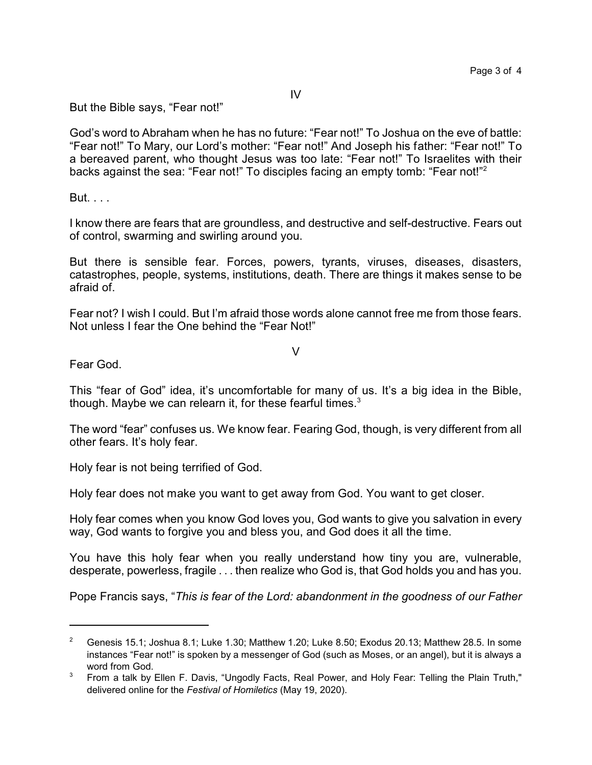IV

But the Bible says, "Fear not!"

God's word to Abraham when he has no future: "Fear not!" To Joshua on the eve of battle: "Fear not!" To Mary, our Lord's mother: "Fear not!" And Joseph his father: "Fear not!" To a bereaved parent, who thought Jesus was too late: "Fear not!" To Israelites with their backs against the sea: "Fear not!" To disciples facing an empty tomb: "Fear not!"<sup>2</sup>

But. . . .

I know there are fears that are groundless, and destructive and self-destructive. Fears out of control, swarming and swirling around you.

But there is sensible fear. Forces, powers, tyrants, viruses, diseases, disasters, catastrophes, people, systems, institutions, death. There are things it makes sense to be afraid of.

Fear not? I wish I could. But I'm afraid those words alone cannot free me from those fears. Not unless I fear the One behind the "Fear Not!"

V

Fear God.

This "fear of God" idea, it's uncomfortable for many of us. It's a big idea in the Bible, though. Maybe we can relearn it, for these fearful times. $3$ 

The word "fear" confuses us. We know fear. Fearing God, though, is very different from all other fears. It's holy fear.

Holy fear is not being terrified of God.

Holy fear does not make you want to get away from God. You want to get closer.

Holy fear comes when you know God loves you, God wants to give you salvation in every way, God wants to forgive you and bless you, and God does it all the time.

You have this holy fear when you really understand how tiny you are, vulnerable, desperate, powerless, fragile . . . then realize who God is, that God holds you and has you.

Pope Francis says, "*This is fear of the Lord: abandonment in the goodness of our Father*

<sup>&</sup>lt;sup>2</sup> Genesis 15.1; Joshua 8.1; Luke 1.30; Matthew 1.20; Luke 8.50; Exodus 20.13; Matthew 28.5. In some instances "Fear not!" is spoken by a messenger of God (such as Moses, or an angel), but it is always a word from God.

<sup>&</sup>lt;sup>3</sup> From a talk by Ellen F. Davis, "Ungodly Facts, Real Power, and Holy Fear: Telling the Plain Truth," delivered online for the *Festival of Homiletics* (May 19, 2020).